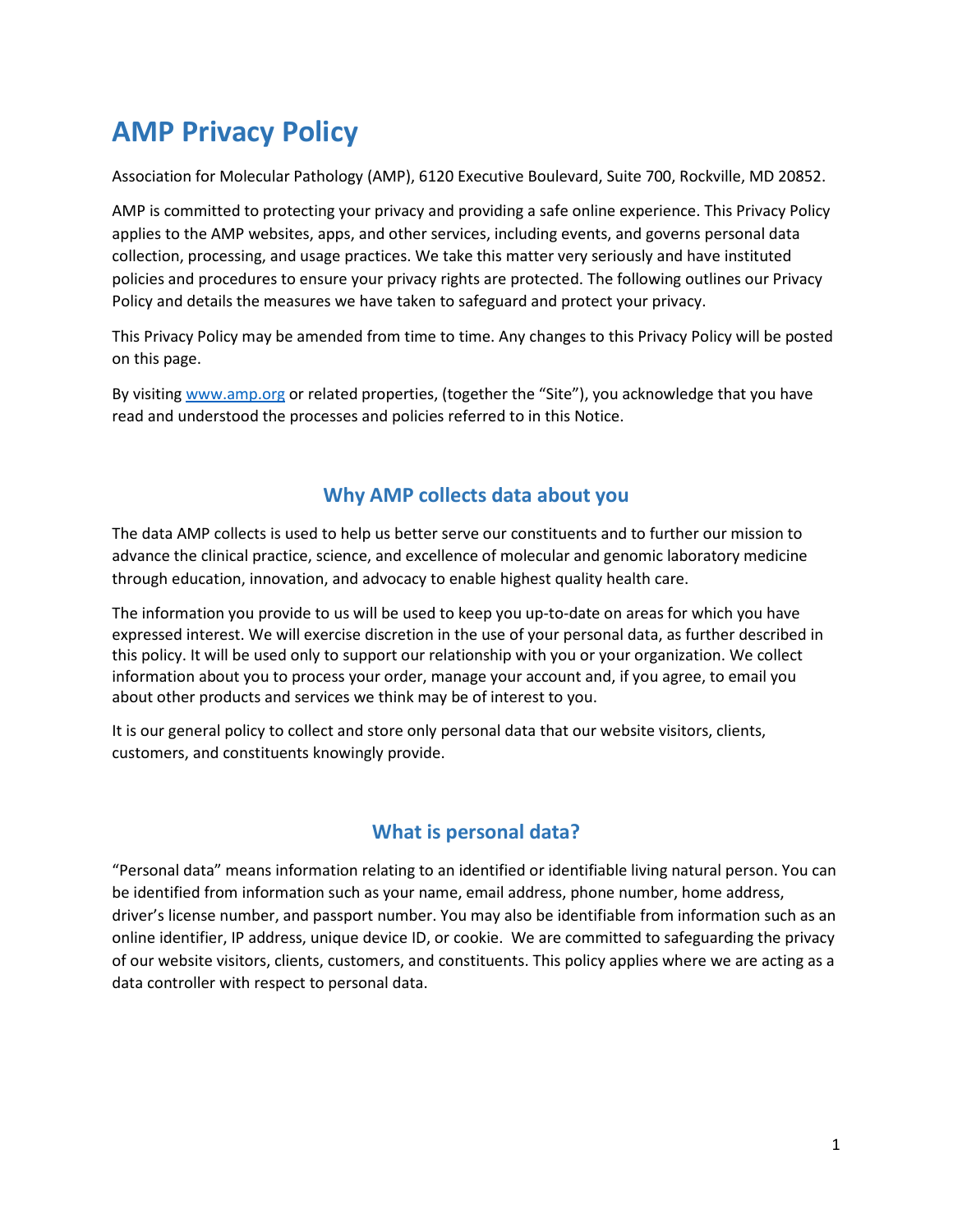# **AMP Privacy Policy**

Association for Molecular Pathology (AMP), 6120 Executive Boulevard, Suite 700, Rockville, MD 20852.

AMP is committed to protecting your privacy and providing a safe online experience. This Privacy Policy applies to the AMP websites, apps, and other services, including events, and governs personal data collection, processing, and usage practices. We take this matter very seriously and have instituted policies and procedures to ensure your privacy rights are protected. The following outlines our Privacy Policy and details the measures we have taken to safeguard and protect your privacy.

This Privacy Policy may be amended from time to time. Any changes to this Privacy Policy will be posted on this page.

By visiting [www.amp.org](http://www.amp.org/) or related properties, (together the "Site"), you acknowledge that you have read and understood the processes and policies referred to in this Notice.

## **Why AMP collects data about you**

The data AMP collects is used to help us better serve our constituents and to further our mission to advance the clinical practice, science, and excellence of molecular and genomic laboratory medicine through education, innovation, and advocacy to enable highest quality health care.

The information you provide to us will be used to keep you up-to-date on areas for which you have expressed interest. We will exercise discretion in the use of your personal data, as further described in this policy. It will be used only to support our relationship with you or your organization. We collect information about you to process your order, manage your account and, if you agree, to email you about other products and services we think may be of interest to you.

It is our general policy to collect and store only personal data that our website visitors, clients, customers, and constituents knowingly provide.

# **What is personal data?**

"Personal data" means information relating to an identified or identifiable living natural person. You can be identified from information such as your name, email address, phone number, home address, driver's license number, and passport number. You may also be identifiable from information such as an online identifier, IP address, unique device ID, or cookie. We are committed to safeguarding the privacy of our website visitors, clients, customers, and constituents. This policy applies where we are acting as a data controller with respect to personal data.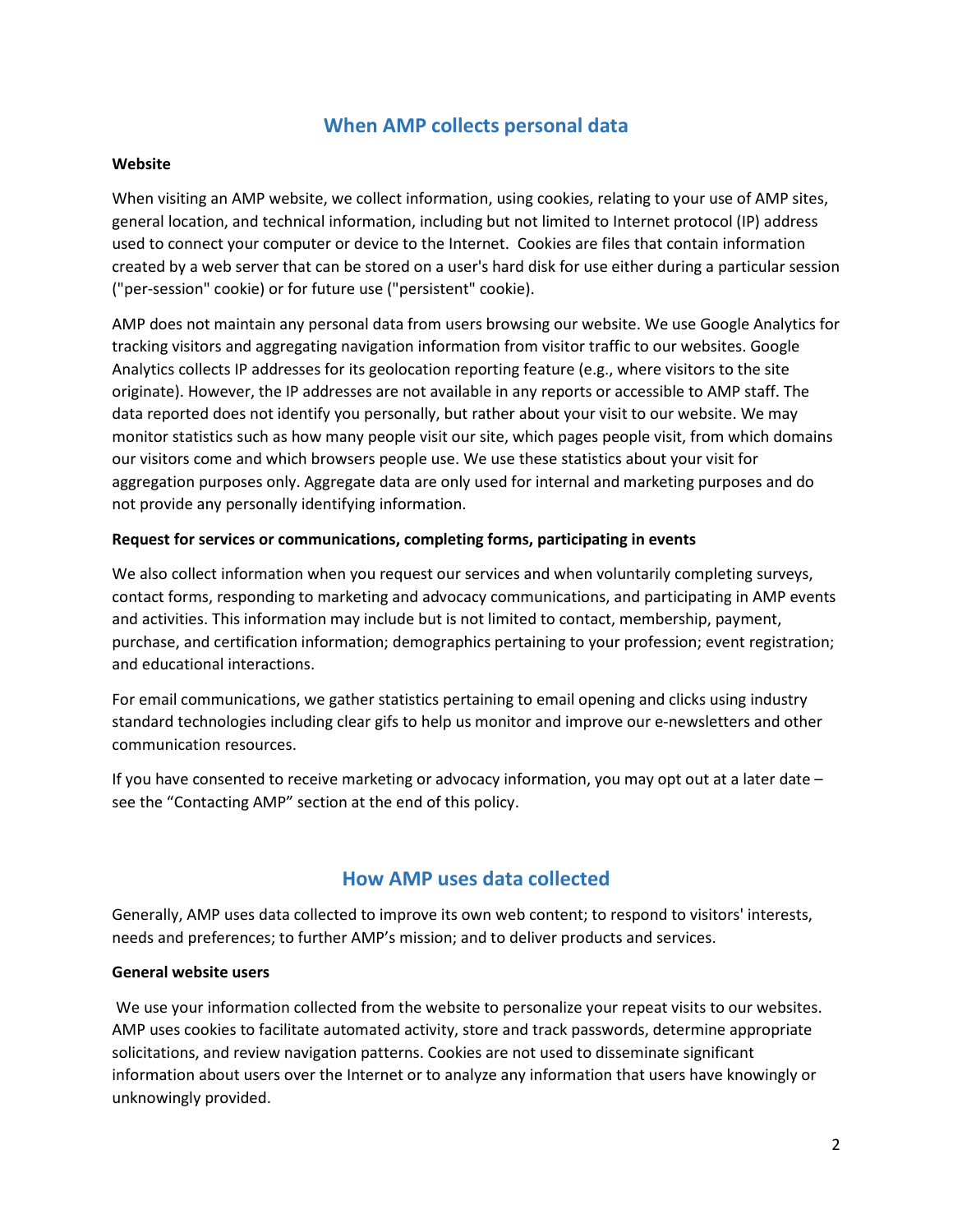# **When AMP collects personal data**

#### **Website**

When visiting an AMP website, we collect information, using cookies, relating to your use of AMP sites, general location, and technical information, including but not limited to Internet protocol (IP) address used to connect your computer or device to the Internet. Cookies are files that contain information created by a web server that can be stored on a user's hard disk for use either during a particular session ("per-session" cookie) or for future use ("persistent" cookie).

AMP does not maintain any personal data from users browsing our website. We use Google Analytics for tracking visitors and aggregating navigation information from visitor traffic to our websites. Google Analytics collects IP addresses for its geolocation reporting feature (e.g., where visitors to the site originate). However, the IP addresses are not available in any reports or accessible to AMP staff. The data reported does not identify you personally, but rather about your visit to our website. We may monitor statistics such as how many people visit our site, which pages people visit, from which domains our visitors come and which browsers people use. We use these statistics about your visit for aggregation purposes only. Aggregate data are only used for internal and marketing purposes and do not provide any personally identifying information.

#### **Request for services or communications, completing forms, participating in events**

We also collect information when you request our services and when voluntarily completing surveys, contact forms, responding to marketing and advocacy communications, and participating in AMP events and activities. This information may include but is not limited to contact, membership, payment, purchase, and certification information; demographics pertaining to your profession; event registration; and educational interactions.

For email communications, we gather statistics pertaining to email opening and clicks using industry standard technologies including clear gifs to help us monitor and improve our e-newsletters and other communication resources.

If you have consented to receive marketing or advocacy information, you may opt out at a later date – see the "Contacting AMP" section at the end of this policy.

## **How AMP uses data collected**

Generally, AMP uses data collected to improve its own web content; to respond to visitors' interests, needs and preferences; to further AMP's mission; and to deliver products and services.

#### **General website users**

We use your information collected from the website to personalize your repeat visits to our websites. AMP uses cookies to facilitate automated activity, store and track passwords, determine appropriate solicitations, and review navigation patterns. Cookies are not used to disseminate significant information about users over the Internet or to analyze any information that users have knowingly or unknowingly provided.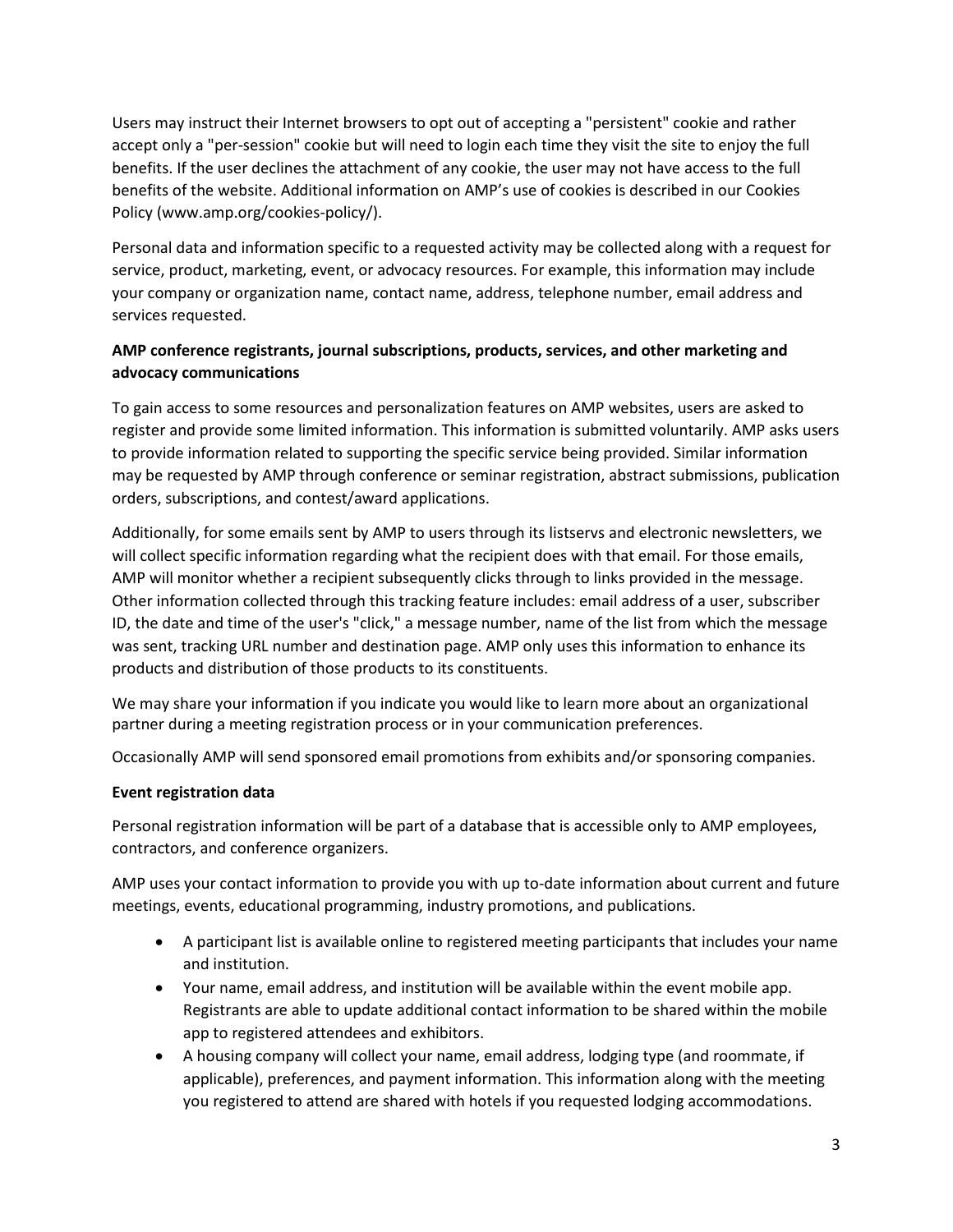Users may instruct their Internet browsers to opt out of accepting a "persistent" cookie and rather accept only a "per-session" cookie but will need to login each time they visit the site to enjoy the full benefits. If the user declines the attachment of any cookie, the user may not have access to the full benefits of the website. Additional information on AMP's use of cookies is described in our Cookies Policy (www.amp.org/cookies-policy/).

Personal data and information specific to a requested activity may be collected along with a request for service, product, marketing, event, or advocacy resources. For example, this information may include your company or organization name, contact name, address, telephone number, email address and services requested.

## **AMP conference registrants, journal subscriptions, products, services, and other marketing and advocacy communications**

To gain access to some resources and personalization features on AMP websites, users are asked to register and provide some limited information. This information is submitted voluntarily. AMP asks users to provide information related to supporting the specific service being provided. Similar information may be requested by AMP through conference or seminar registration, abstract submissions, publication orders, subscriptions, and contest/award applications.

Additionally, for some emails sent by AMP to users through its listservs and electronic newsletters, we will collect specific information regarding what the recipient does with that email. For those emails, AMP will monitor whether a recipient subsequently clicks through to links provided in the message. Other information collected through this tracking feature includes: email address of a user, subscriber ID, the date and time of the user's "click," a message number, name of the list from which the message was sent, tracking URL number and destination page. AMP only uses this information to enhance its products and distribution of those products to its constituents.

We may share your information if you indicate you would like to learn more about an organizational partner during a meeting registration process or in your communication preferences.

Occasionally AMP will send sponsored email promotions from exhibits and/or sponsoring companies.

## **Event registration data**

Personal registration information will be part of a database that is accessible only to AMP employees, contractors, and conference organizers.

AMP uses your contact information to provide you with up to-date information about current and future meetings, events, educational programming, industry promotions, and publications.

- A participant list is available online to registered meeting participants that includes your name and institution.
- Your name, email address, and institution will be available within the event mobile app. Registrants are able to update additional contact information to be shared within the mobile app to registered attendees and exhibitors.
- A housing company will collect your name, email address, lodging type (and roommate, if applicable), preferences, and payment information. This information along with the meeting you registered to attend are shared with hotels if you requested lodging accommodations.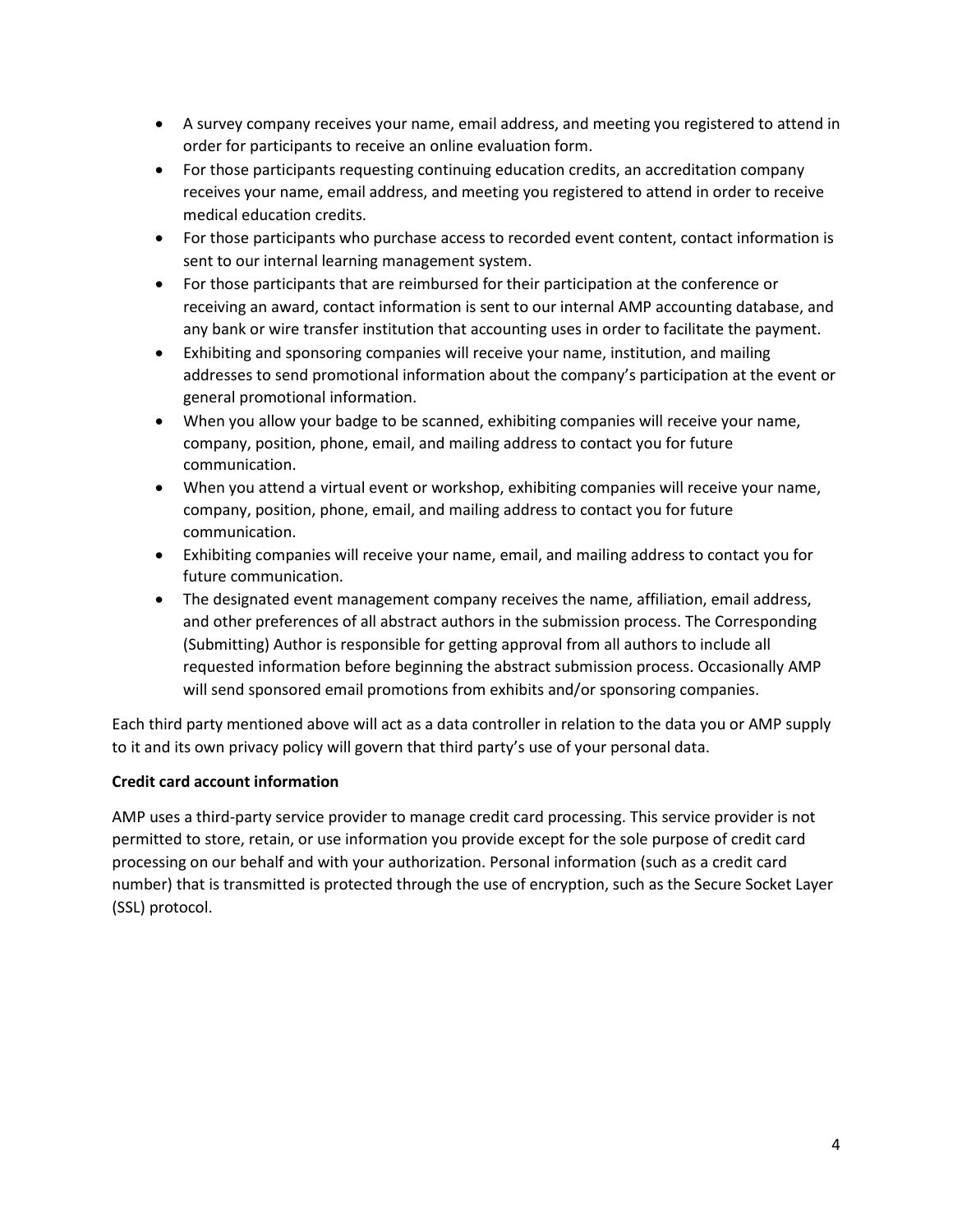- A survey company receives your name, email address, and meeting you registered to attend in order for participants to receive an online evaluation form.
- For those participants requesting continuing education credits, an accreditation company receives your name, email address, and meeting you registered to attend in order to receive medical education credits.
- For those participants who purchase access to recorded event content, contact information is sent to our internal learning management system.
- For those participants that are reimbursed for their participation at the conference or receiving an award, contact information is sent to our internal AMP accounting database, and any bank or wire transfer institution that accounting uses in order to facilitate the payment.
- Exhibiting and sponsoring companies will receive your name, institution, and mailing addresses to send promotional information about the company's participation at the event or general promotional information.
- When you allow your badge to be scanned, exhibiting companies will receive your name, company, position, phone, email, and mailing address to contact you for future communication.
- When you attend a virtual event or workshop, exhibiting companies will receive your name, company, position, phone, email, and mailing address to contact you for future communication.
- Exhibiting companies will receive your name, email, and mailing address to contact you for future communication.
- The designated event management company receives the name, affiliation, email address, and other preferences of all abstract authors in the submission process. The Corresponding (Submitting) Author is responsible for getting approval from all authors to include all requested information before beginning the abstract submission process. Occasionally AMP will send sponsored email promotions from exhibits and/or sponsoring companies.

Each third party mentioned above will act as a data controller in relation to the data you or AMP supply to it and its own privacy policy will govern that third party's use of your personal data.

## **Credit card account information**

AMP uses a third-party service provider to manage credit card processing. This service provider is not permitted to store, retain, or use information you provide except for the sole purpose of credit card processing on our behalf and with your authorization. Personal information (such as a credit card number) that is transmitted is protected through the use of encryption, such as the Secure Socket Layer (SSL) protocol.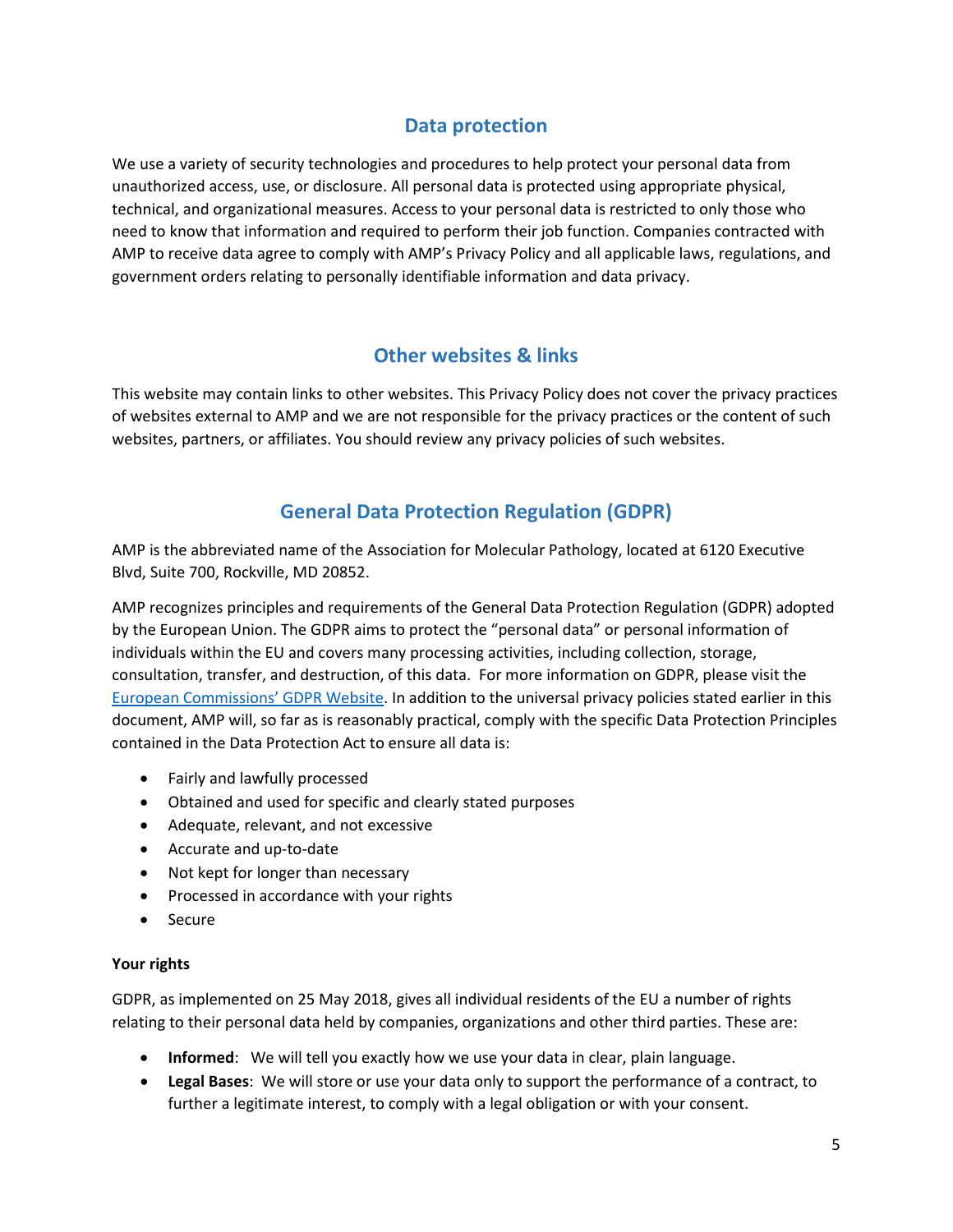## **Data protection**

We use a variety of security technologies and procedures to help protect your personal data from unauthorized access, use, or disclosure. All personal data is protected using appropriate physical, technical, and organizational measures. Access to your personal data is restricted to only those who need to know that information and required to perform their job function. Companies contracted with AMP to receive data agree to comply with AMP's Privacy Policy and all applicable laws, regulations, and government orders relating to personally identifiable information and data privacy.

# **Other websites & links**

This website may contain links to other websites. This Privacy Policy does not cover the privacy practices of websites external to AMP and we are not responsible for the privacy practices or the content of such websites, partners, or affiliates. You should review any privacy policies of such websites.

# **General Data Protection Regulation (GDPR)**

AMP is the abbreviated name of the Association for Molecular Pathology, located at 6120 Executive Blvd, Suite 700, Rockville, MD 20852.

AMP recognizes principles and requirements of the General Data Protection Regulation (GDPR) adopted by the European Union. The GDPR aims to protect the "personal data" or personal information of individuals within the EU and covers many processing activities, including collection, storage, consultation, transfer, and destruction, of this data. For more information on GDPR, please visit the [European Commissions' GDPR Website.](https://ec.europa.eu/info/law/law-topic/data-protection_en) In addition to the universal privacy policies stated earlier in this document, AMP will, so far as is reasonably practical, comply with the specific Data Protection Principles contained in the Data Protection Act to ensure all data is:

- Fairly and lawfully processed
- Obtained and used for specific and clearly stated purposes
- Adequate, relevant, and not excessive
- Accurate and up-to-date
- Not kept for longer than necessary
- Processed in accordance with your rights
- Secure

#### **Your rights**

GDPR, as implemented on 25 May 2018, gives all individual residents of the EU a number of rights relating to their personal data held by companies, organizations and other third parties. These are:

- **Informed**: We will tell you exactly how we use your data in clear, plain language.
- **Legal Bases**: We will store or use your data only to support the performance of a contract, to further a legitimate interest, to comply with a legal obligation or with your consent.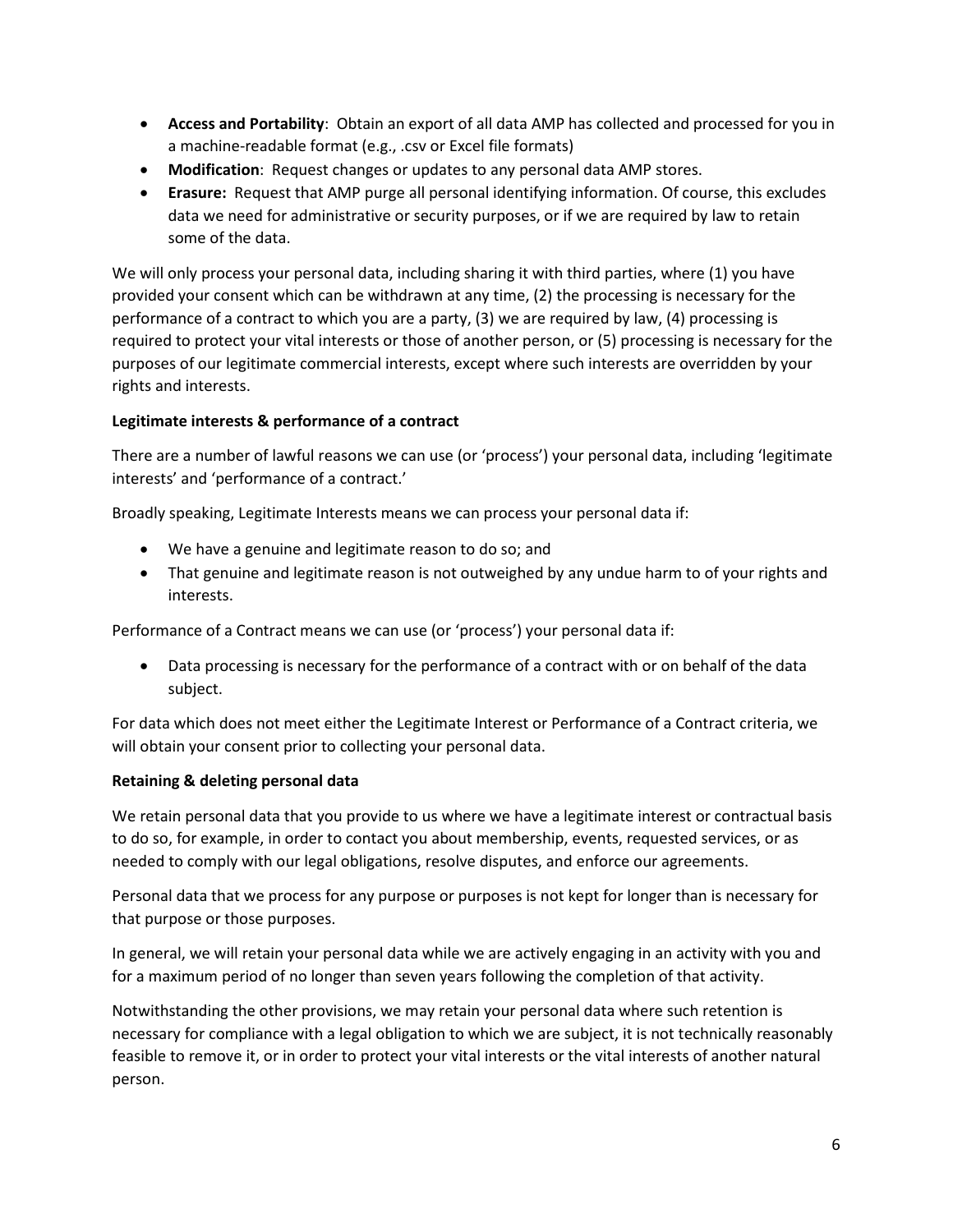- **Access and Portability**: Obtain an export of all data AMP has collected and processed for you in a machine-readable format (e.g., .csv or Excel file formats)
- **Modification**: Request changes or updates to any personal data AMP stores.
- **Erasure:** Request that AMP purge all personal identifying information. Of course, this excludes data we need for administrative or security purposes, or if we are required by law to retain some of the data.

We will only process your personal data, including sharing it with third parties, where (1) you have provided your consent which can be withdrawn at any time, (2) the processing is necessary for the performance of a contract to which you are a party, (3) we are required by law, (4) processing is required to protect your vital interests or those of another person, or (5) processing is necessary for the purposes of our legitimate commercial interests, except where such interests are overridden by your rights and interests.

## **Legitimate interests & performance of a contract**

There are a number of lawful reasons we can use (or 'process') your personal data, including 'legitimate interests' and 'performance of a contract.'

Broadly speaking, Legitimate Interests means we can process your personal data if:

- We have a genuine and legitimate reason to do so; and
- That genuine and legitimate reason is not outweighed by any undue harm to of your rights and interests.

Performance of a Contract means we can use (or 'process') your personal data if:

• Data processing is necessary for the performance of a contract with or on behalf of the data subject.

For data which does not meet either the Legitimate Interest or Performance of a Contract criteria, we will obtain your consent prior to collecting your personal data.

#### **Retaining & deleting personal data**

We retain personal data that you provide to us where we have a legitimate interest or contractual basis to do so, for example, in order to contact you about membership, events, requested services, or as needed to comply with our legal obligations, resolve disputes, and enforce our agreements.

Personal data that we process for any purpose or purposes is not kept for longer than is necessary for that purpose or those purposes.

In general, we will retain your personal data while we are actively engaging in an activity with you and for a maximum period of no longer than seven years following the completion of that activity.

Notwithstanding the other provisions, we may retain your personal data where such retention is necessary for compliance with a legal obligation to which we are subject, it is not technically reasonably feasible to remove it, or in order to protect your vital interests or the vital interests of another natural person.